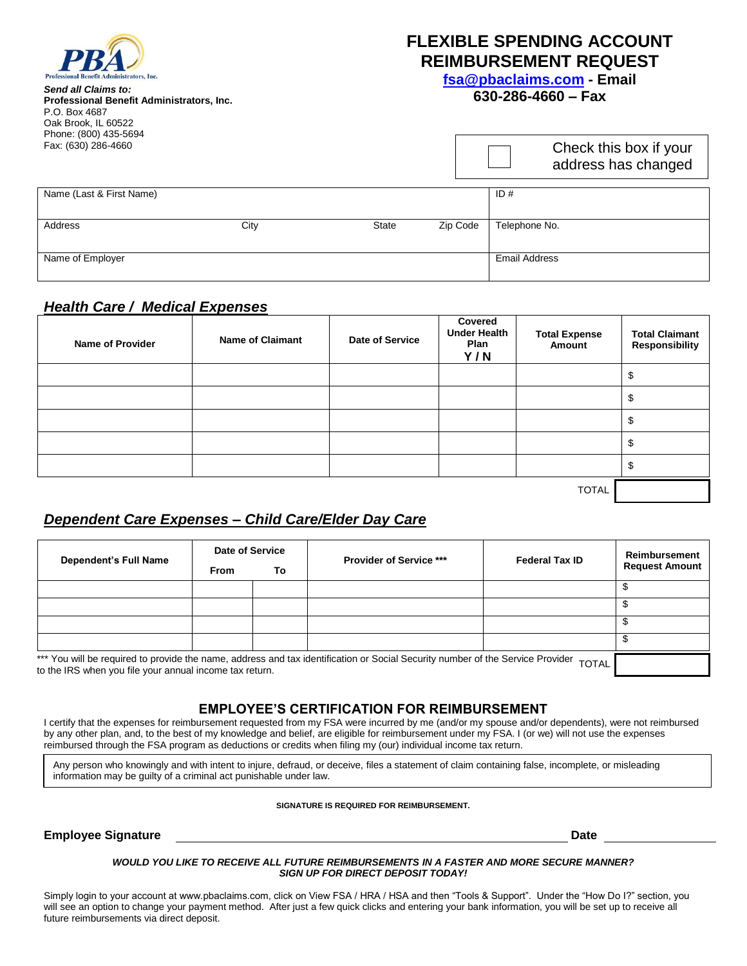

*Send all Claims to:* **Professional Benefit Administrators, Inc.** P.O. Box 4687 Oak Brook, IL 60522 Phone: (800) 435-5694 Fax: (630) 286-4660

# **FLEXIBLE SPENDING ACCOUNT REIMBURSEMENT REQUEST**

**[fsa@pbaclaims.com](mailto:fsa@pbaclaims.com) - Email**

# **630-286-4660 – Fax**

Check this box if your

|                          |      |              |          | <b>OTIOUR LITTLE DUALITY YOUR</b><br>address has changed |
|--------------------------|------|--------------|----------|----------------------------------------------------------|
| Name (Last & First Name) |      |              |          | ID#                                                      |
| Address                  | City | <b>State</b> | Zip Code | Telephone No.                                            |
| Name of Employer         |      |              |          | <b>Email Address</b>                                     |

# *Health Care / Medical Expenses*

| <b>Name of Provider</b> | <b>Name of Claimant</b> | Date of Service | Covered<br><b>Under Health</b><br>Plan<br>Y/N | <b>Total Expense</b><br>Amount | <b>Total Claimant</b><br><b>Responsibility</b> |
|-------------------------|-------------------------|-----------------|-----------------------------------------------|--------------------------------|------------------------------------------------|
|                         |                         |                 |                                               |                                | \$                                             |
|                         |                         |                 |                                               |                                | \$                                             |
|                         |                         |                 |                                               |                                | \$                                             |
|                         |                         |                 |                                               |                                | \$                                             |
|                         |                         |                 |                                               |                                | \$                                             |
| <b>TOTAL</b>            |                         |                 |                                               |                                |                                                |

# *Dependent Care Expenses – Child Care/Elder Day Care*

| <b>Dependent's Full Name</b>                                                                                                                                                                              | Date of Service |    | <b>Provider of Service ***</b> | <b>Federal Tax ID</b> | Reimbursement         |
|-----------------------------------------------------------------------------------------------------------------------------------------------------------------------------------------------------------|-----------------|----|--------------------------------|-----------------------|-----------------------|
|                                                                                                                                                                                                           | From            | To |                                |                       | <b>Request Amount</b> |
|                                                                                                                                                                                                           |                 |    |                                |                       |                       |
|                                                                                                                                                                                                           |                 |    |                                |                       |                       |
|                                                                                                                                                                                                           |                 |    |                                |                       |                       |
|                                                                                                                                                                                                           |                 |    |                                |                       |                       |
| *** You will be required to provide the name, address and tax identification or Social Security number of the Service Provider<br><b>TOTAL</b><br>to the IRS when you file your annual income tax return. |                 |    |                                |                       |                       |

**EMPLOYEE'S CERTIFICATION FOR REIMBURSEMENT**

I certify that the expenses for reimbursement requested from my FSA were incurred by me (and/or my spouse and/or dependents), were not reimbursed by any other plan, and, to the best of my knowledge and belief, are eligible for reimbursement under my FSA. I (or we) will not use the expenses reimbursed through the FSA program as deductions or credits when filing my (our) individual income tax return.

Any person who knowingly and with intent to injure, defraud, or deceive, files a statement of claim containing false, incomplete, or misleading information may be guilty of a criminal act punishable under law.

**SIGNATURE IS REQUIRED FOR REIMBURSEMENT.**

**Employee Signature Date**

#### *WOULD YOU LIKE TO RECEIVE ALL FUTURE REIMBURSEMENTS IN A FASTER AND MORE SECURE MANNER? SIGN UP FOR DIRECT DEPOSIT TODAY!*

Simply login to your account at www.pbaclaims.com, click on View FSA / HRA / HSA and then "Tools & Support". Under the "How Do I?" section, you will see an option to change your payment method. After just a few quick clicks and entering your bank information, you will be set up to receive all future reimbursements via direct deposit.